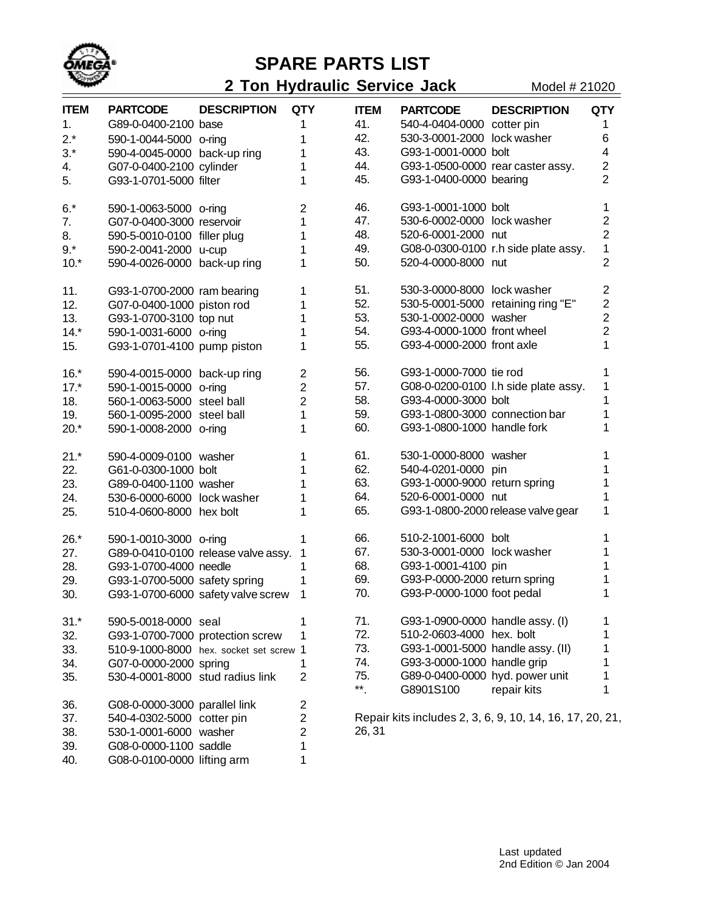

## **SPARE PARTS LIST**

**2 Ton Hydraulic Service Jack**

Model # 21020

| <b>ITEM</b> | <b>PARTCODE</b>                  | <b>DESCRIPTION</b>                      | <b>QTY</b>              | <b>ITEM</b>       | <b>PARTCODE</b>                    | <b>DESCRIPTION</b>                                       | <b>QTY</b>     |
|-------------|----------------------------------|-----------------------------------------|-------------------------|-------------------|------------------------------------|----------------------------------------------------------|----------------|
| 1.          | G89-0-0400-2100 base             |                                         | 1                       | 41.               | 540-4-0404-0000 cotter pin         |                                                          | 1              |
| $2.*$       | 590-1-0044-5000 o-ring           |                                         | 1                       | 42.               | 530-3-0001-2000 lock washer        |                                                          | 6              |
| $3.*$       | 590-4-0045-0000 back-up ring     |                                         | 1                       | 43.               | G93-1-0001-0000 bolt               |                                                          | 4              |
| 4.          | G07-0-0400-2100 cylinder         |                                         | 1                       | 44.               |                                    | G93-1-0500-0000 rear caster assy.                        | $\overline{2}$ |
| 5.          | G93-1-0701-5000 filter           |                                         | 1                       | 45.               | G93-1-0400-0000 bearing            |                                                          | $\overline{2}$ |
| $6.*$       | 590-1-0063-5000 o-ring           |                                         | $\overline{2}$          | 46.               | G93-1-0001-1000 bolt               |                                                          | 1              |
| 7.          | G07-0-0400-3000 reservoir        |                                         | 1                       | 47.               | 530-6-0002-0000 lock washer        |                                                          | $\overline{2}$ |
| 8.          | 590-5-0010-0100 filler plug      |                                         | 1                       | 48.               | 520-6-0001-2000 nut                |                                                          | $\overline{2}$ |
| $9.*$       | 590-2-0041-2000 u-cup            |                                         | 1                       | 49.               |                                    | G08-0-0300-0100 r.h side plate assy.                     | $\mathbf{1}$   |
| $10.*$      | 590-4-0026-0000 back-up ring     |                                         | 1                       | 50.               | 520-4-0000-8000 nut                |                                                          | $\overline{2}$ |
|             |                                  |                                         |                         | 51.               | 530-3-0000-8000 lock washer        |                                                          | $\overline{c}$ |
| 11.         | G93-1-0700-2000 ram bearing      |                                         | 1                       | 52.               | 530-5-0001-5000 retaining ring "E" |                                                          | $\overline{c}$ |
| 12.         | G07-0-0400-1000 piston rod       |                                         | 1                       | 53.               | 530-1-0002-0000 washer             |                                                          | $\overline{2}$ |
| 13.         | G93-1-0700-3100 top nut          |                                         | 1                       | 54.               | G93-4-0000-1000 front wheel        |                                                          | $\overline{2}$ |
| $14.*$      | 590-1-0031-6000 o-ring           |                                         | 1                       | 55.               | G93-4-0000-2000 front axle         |                                                          | 1              |
| 15.         | G93-1-0701-4100 pump piston      |                                         | 1                       |                   |                                    |                                                          |                |
| $16.*$      | 590-4-0015-0000 back-up ring     |                                         | $\overline{c}$          | 56.               | G93-1-0000-7000 tie rod            |                                                          | 1              |
| $17.*$      | 590-1-0015-0000 o-ring           |                                         | $\overline{2}$          | 57.               |                                    | G08-0-0200-0100 I.h side plate assy.                     | 1              |
| 18.         | 560-1-0063-5000 steel ball       |                                         | $\overline{2}$          | 58.               | G93-4-0000-3000 bolt               |                                                          | 1              |
| 19.         | 560-1-0095-2000 steel ball       |                                         | 1                       | 59.               | G93-1-0800-3000 connection bar     |                                                          | 1              |
| $20.*$      | 590-1-0008-2000 o-ring           |                                         | 1                       | 60.               | G93-1-0800-1000 handle fork        |                                                          | 1              |
| $21.*$      | 590-4-0009-0100 washer           |                                         | 1                       | 61.               | 530-1-0000-8000 washer             |                                                          | 1              |
| 22.         | G61-0-0300-1000 bolt             |                                         | 1                       | 62.               | 540-4-0201-0000 pin                |                                                          | 1              |
| 23.         | G89-0-0400-1100 washer           |                                         | 1                       | 63.               | G93-1-0000-9000 return spring      |                                                          | 1              |
| 24.         | 530-6-0000-6000 lock washer      |                                         | 1                       | 64.               | 520-6-0001-0000 nut                |                                                          | 1              |
| 25.         | 510-4-0600-8000 hex bolt         |                                         | 1                       | 65.               |                                    | G93-1-0800-2000 release valve gear                       | 1              |
| $26.*$      | 590-1-0010-3000 o-ring           |                                         | 1                       | 66.               | 510-2-1001-6000 bolt               |                                                          | 1              |
| 27.         |                                  | G89-0-0410-0100 release valve assy.     | 1                       | 67.               | 530-3-0001-0000 lock washer        |                                                          | 1              |
| 28.         | G93-1-0700-4000 needle           |                                         | 1                       | 68.               | G93-1-0001-4100 pin                |                                                          | 1              |
| 29.         | G93-1-0700-5000 safety spring    |                                         | 1                       | 69.               | G93-P-0000-2000 return spring      |                                                          | 1              |
| 30.         |                                  | G93-1-0700-6000 safety valve screw      | 1                       | 70.               | G93-P-0000-1000 foot pedal         |                                                          | 1              |
|             |                                  |                                         |                         | 71.               | G93-1-0900-0000 handle assy. (I)   |                                                          |                |
| $31.*$      | 590-5-0018-0000 seal             |                                         | 1                       | 72.               | 510-2-0603-4000 hex. bolt          |                                                          | 1              |
| 32.         | G93-1-0700-7000 protection screw |                                         | 1                       | 73.               | G93-1-0001-5000 handle assy. (II)  |                                                          | 1              |
| 33.         |                                  | 510-9-1000-8000 hex. socket set screw 1 |                         | 74.               | G93-3-0000-1000 handle grip        |                                                          | 1<br>1         |
| 34.         | G07-0-0000-2000 spring           |                                         | 1                       | 75.               | G89-0-0400-0000 hyd. power unit    |                                                          | 1              |
| 35.         | 530-4-0001-8000 stud radius link |                                         | $\overline{2}$          | $^{\star\star}$ . | G8901S100                          | repair kits                                              | 1              |
| 36.         | G08-0-0000-3000 parallel link    |                                         | $\overline{\mathbf{c}}$ |                   |                                    |                                                          |                |
| 37.         | 540-4-0302-5000 cotter pin       |                                         | $\overline{c}$          |                   |                                    | Repair kits includes 2, 3, 6, 9, 10, 14, 16, 17, 20, 21, |                |
| 38.         | 530-1-0001-6000 washer           |                                         | $\overline{c}$          | 26, 31            |                                    |                                                          |                |
| 39.         | G08-0-0000-1100 saddle           |                                         | 1                       |                   |                                    |                                                          |                |
| 40.         | G08-0-0100-0000 lifting arm      |                                         | 1                       |                   |                                    |                                                          |                |